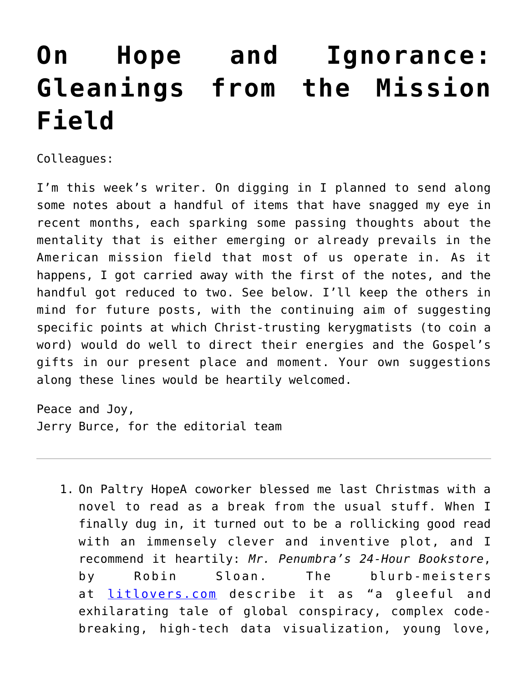## **[On Hope and Ignorance:](https://crossings.org/on-hope-and-ignorance-gleanings-from-the-mission-field/) [Gleanings from the Mission](https://crossings.org/on-hope-and-ignorance-gleanings-from-the-mission-field/) [Field](https://crossings.org/on-hope-and-ignorance-gleanings-from-the-mission-field/)**

Colleagues:

I'm this week's writer. On digging in I planned to send along some notes about a handful of items that have snagged my eye in recent months, each sparking some passing thoughts about the mentality that is either emerging or already prevails in the American mission field that most of us operate in. As it happens, I got carried away with the first of the notes, and the handful got reduced to two. See below. I'll keep the others in mind for future posts, with the continuing aim of suggesting specific points at which Christ-trusting kerygmatists (to coin a word) would do well to direct their energies and the Gospel's gifts in our present place and moment. Your own suggestions along these lines would be heartily welcomed.

Peace and Joy, Jerry Burce, for the editorial team

1. On Paltry HopeA coworker blessed me last Christmas with a novel to read as a break from the usual stuff. When I finally dug in, it turned out to be a rollicking good read with an immensely clever and inventive plot, and I recommend it heartily: *Mr. Penumbra's 24-Hour Bookstore*, by Robin Sloan. The blurb-meisters at [litlovers.com](http://www.litlovers.com/reading-guides/13-fiction/8950-mr-penumbras-24-hour-bookstore-sloan) describe it as "a gleeful and exhilarating tale of global conspiracy, complex codebreaking, high-tech data visualization, young love,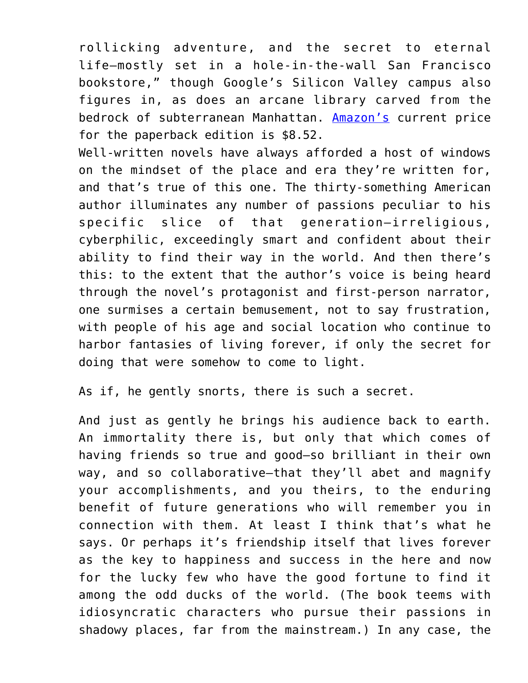rollicking adventure, and the secret to eternal life—mostly set in a hole-in-the-wall San Francisco bookstore," though Google's Silicon Valley campus also figures in, as does an arcane library carved from the bedrock of subterranean Manhattan. [Amazon's](http://www.amazon.com/Mr-Penumbras-24-Hour-Bookstore-Novel/dp/1250037751/ref=sr_1_1?s=books&ie=UTF8&qid=1405793539&sr=1-1&keywords=mr.+penumbras+24-hour+bookstore) current price for the paperback edition is \$8.52.

Well-written novels have always afforded a host of windows on the mindset of the place and era they're written for, and that's true of this one. The thirty-something American author illuminates any number of passions peculiar to his specific slice of that generation—irreligious, cyberphilic, exceedingly smart and confident about their ability to find their way in the world. And then there's this: to the extent that the author's voice is being heard through the novel's protagonist and first-person narrator, one surmises a certain bemusement, not to say frustration, with people of his age and social location who continue to harbor fantasies of living forever, if only the secret for doing that were somehow to come to light.

As if, he gently snorts, there is such a secret.

And just as gently he brings his audience back to earth. An immortality there is, but only that which comes of having friends so true and good—so brilliant in their own way, and so collaborative—that they'll abet and magnify your accomplishments, and you theirs, to the enduring benefit of future generations who will remember you in connection with them. At least I think that's what he says. Or perhaps it's friendship itself that lives forever as the key to happiness and success in the here and now for the lucky few who have the good fortune to find it among the odd ducks of the world. (The book teems with idiosyncratic characters who pursue their passions in shadowy places, far from the mainstream.) In any case, the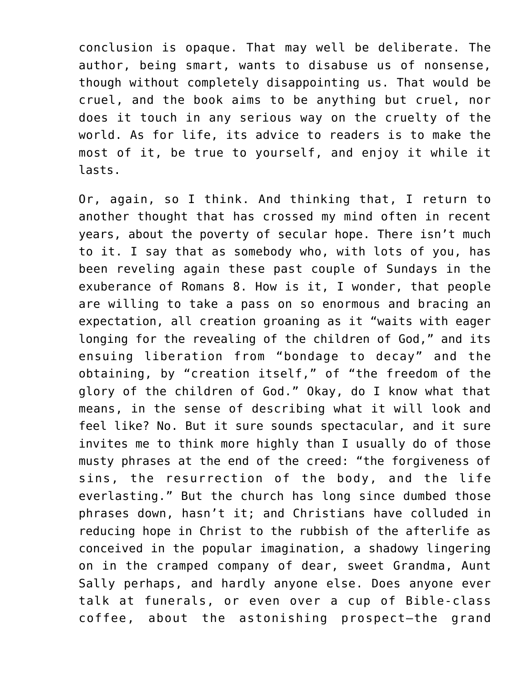conclusion is opaque. That may well be deliberate. The author, being smart, wants to disabuse us of nonsense, though without completely disappointing us. That would be cruel, and the book aims to be anything but cruel, nor does it touch in any serious way on the cruelty of the world. As for life, its advice to readers is to make the most of it, be true to yourself, and enjoy it while it lasts.

Or, again, so I think. And thinking that, I return to another thought that has crossed my mind often in recent years, about the poverty of secular hope. There isn't much to it. I say that as somebody who, with lots of you, has been reveling again these past couple of Sundays in the exuberance of Romans 8. How is it, I wonder, that people are willing to take a pass on so enormous and bracing an expectation, all creation groaning as it "waits with eager longing for the revealing of the children of God," and its ensuing liberation from "bondage to decay" and the obtaining, by "creation itself," of "the freedom of the glory of the children of God." Okay, do I know what that means, in the sense of describing what it will look and feel like? No. But it sure sounds spectacular, and it sure invites me to think more highly than I usually do of those musty phrases at the end of the creed: "the forgiveness of sins, the resurrection of the body, and the life everlasting." But the church has long since dumbed those phrases down, hasn't it; and Christians have colluded in reducing hope in Christ to the rubbish of the afterlife as conceived in the popular imagination, a shadowy lingering on in the cramped company of dear, sweet Grandma, Aunt Sally perhaps, and hardly anyone else. Does anyone ever talk at funerals, or even over a cup of Bible-class coffee, about the astonishing prospect—the grand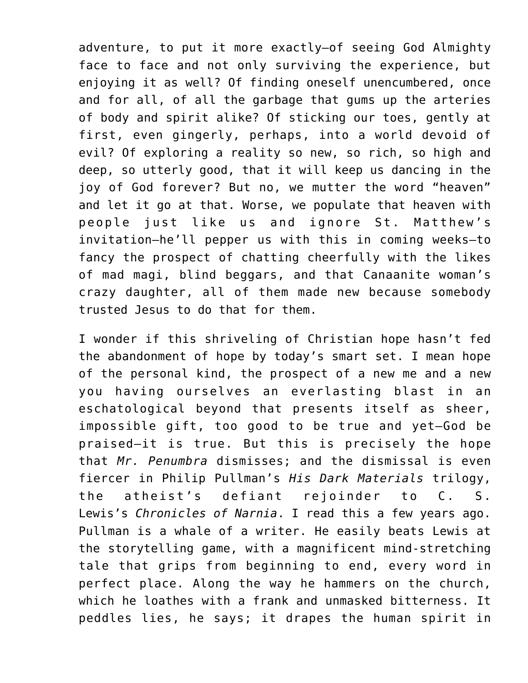adventure, to put it more exactly—of seeing God Almighty face to face and not only surviving the experience, but enjoying it as well? Of finding oneself unencumbered, once and for all, of all the garbage that gums up the arteries of body and spirit alike? Of sticking our toes, gently at first, even gingerly, perhaps, into a world devoid of evil? Of exploring a reality so new, so rich, so high and deep, so utterly good, that it will keep us dancing in the joy of God forever? But no, we mutter the word "heaven" and let it go at that. Worse, we populate that heaven with people just like us and ignore St. Matthew's invitation—he'll pepper us with this in coming weeks—to fancy the prospect of chatting cheerfully with the likes of mad magi, blind beggars, and that Canaanite woman's crazy daughter, all of them made new because somebody trusted Jesus to do that for them.

I wonder if this shriveling of Christian hope hasn't fed the abandonment of hope by today's smart set. I mean hope of the personal kind, the prospect of a new me and a new you having ourselves an everlasting blast in an eschatological beyond that presents itself as sheer, impossible gift, too good to be true and yet—God be praised—it is true. But this is precisely the hope that *Mr. Penumbra* dismisses; and the dismissal is even fiercer in Philip Pullman's *His Dark Materials* trilogy, the atheist's defiant rejoinder to C. S. Lewis's *Chronicles of Narnia*. I read this a few years ago. Pullman is a whale of a writer. He easily beats Lewis at the storytelling game, with a magnificent mind-stretching tale that grips from beginning to end, every word in perfect place. Along the way he hammers on the church, which he loathes with a frank and unmasked bitterness. It peddles lies, he says; it drapes the human spirit in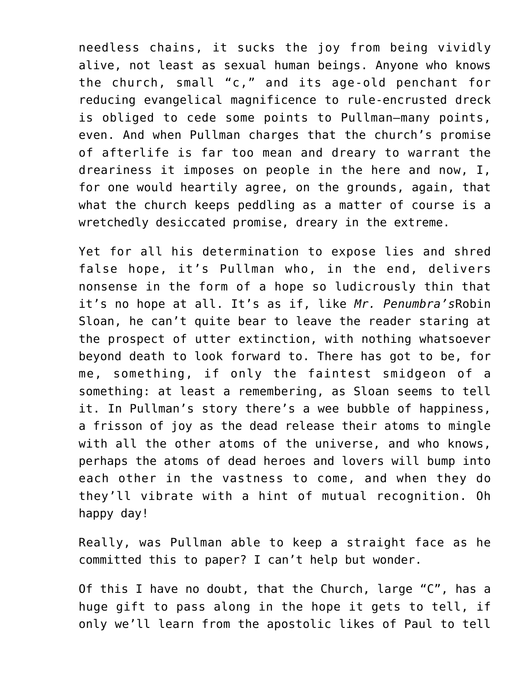needless chains, it sucks the joy from being vividly alive, not least as sexual human beings. Anyone who knows the church, small "c," and its age-old penchant for reducing evangelical magnificence to rule-encrusted dreck is obliged to cede some points to Pullman—many points, even. And when Pullman charges that the church's promise of afterlife is far too mean and dreary to warrant the dreariness it imposes on people in the here and now, I, for one would heartily agree, on the grounds, again, that what the church keeps peddling as a matter of course is a wretchedly desiccated promise, dreary in the extreme.

Yet for all his determination to expose lies and shred false hope, it's Pullman who, in the end, delivers nonsense in the form of a hope so ludicrously thin that it's no hope at all. It's as if, like *Mr. Penumbra's*Robin Sloan, he can't quite bear to leave the reader staring at the prospect of utter extinction, with nothing whatsoever beyond death to look forward to. There has got to be, for me, something, if only the faintest smidgeon of a something: at least a remembering, as Sloan seems to tell it. In Pullman's story there's a wee bubble of happiness, a frisson of joy as the dead release their atoms to mingle with all the other atoms of the universe, and who knows, perhaps the atoms of dead heroes and lovers will bump into each other in the vastness to come, and when they do they'll vibrate with a hint of mutual recognition. Oh happy day!

Really, was Pullman able to keep a straight face as he committed this to paper? I can't help but wonder.

Of this I have no doubt, that the Church, large "C", has a huge gift to pass along in the hope it gets to tell, if only we'll learn from the apostolic likes of Paul to tell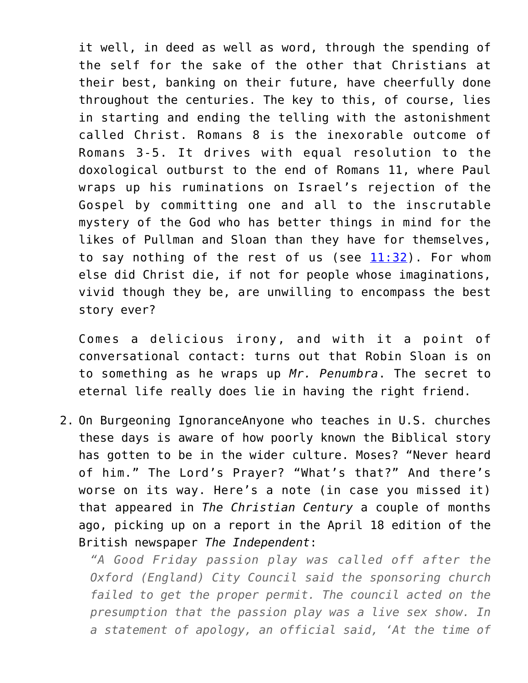it well, in deed as well as word, through the spending of the self for the sake of the other that Christians at their best, banking on their future, have cheerfully done throughout the centuries. The key to this, of course, lies in starting and ending the telling with the astonishment called Christ. Romans 8 is the inexorable outcome of Romans 3-5. It drives with equal resolution to the doxological outburst to the end of Romans 11, where Paul wraps up his ruminations on Israel's rejection of the Gospel by committing one and all to the inscrutable mystery of the God who has better things in mind for the likes of Pullman and Sloan than they have for themselves, to say nothing of the rest of us (see  $11:32$ ). For whom else did Christ die, if not for people whose imaginations, vivid though they be, are unwilling to encompass the best story ever?

Comes a delicious irony, and with it a point of conversational contact: turns out that Robin Sloan is on to something as he wraps up *Mr. Penumbra*. The secret to eternal life really does lie in having the right friend.

2. On Burgeoning IgnoranceAnyone who teaches in U.S. churches these days is aware of how poorly known the Biblical story has gotten to be in the wider culture. Moses? "Never heard of him." The Lord's Prayer? "What's that?" And there's worse on its way. Here's a note (in case you missed it) that appeared in *The Christian Century* a couple of months ago, picking up on a report in the April 18 edition of the British newspaper *The Independent*:

*"A Good Friday passion play was called off after the Oxford (England) City Council said the sponsoring church failed to get the proper permit. The council acted on the presumption that the passion play was a live sex show. In a statement of apology, an official said, 'At the time of*